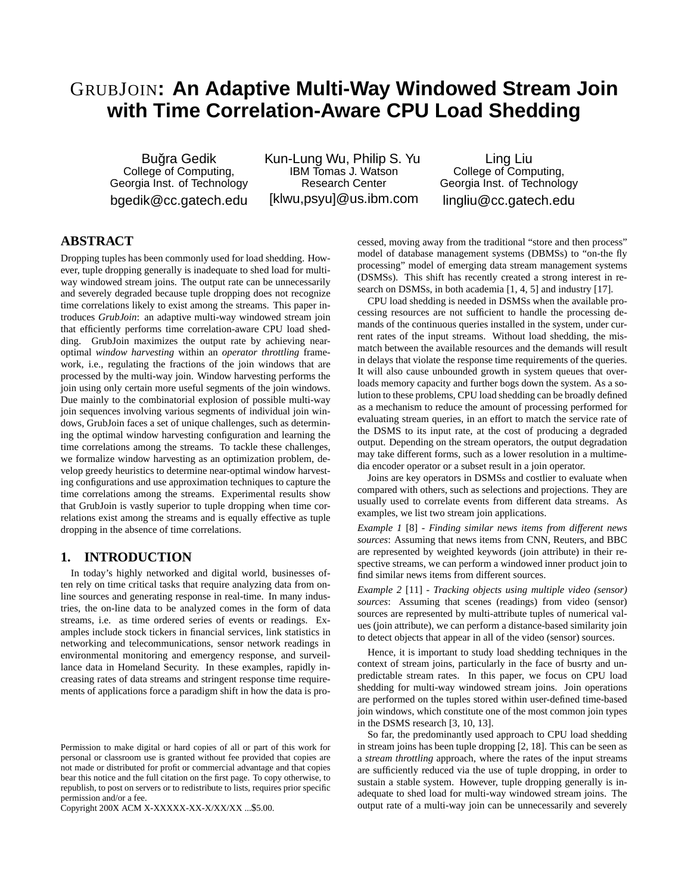# GRUBJOIN**: An Adaptive Multi-Way Windowed Stream Join with Time Correlation-Aware CPU Load Shedding**

Buğra Gedik College of Computing, Georgia Inst. of Technology bgedik@cc.gatech.edu Kun-Lung Wu, Philip S. Yu IBM Tomas J. Watson Research Center [klwu,psyu]@us.ibm.com

Ling Liu College of Computing, Georgia Inst. of Technology lingliu@cc.gatech.edu

# **ABSTRACT**

Dropping tuples has been commonly used for load shedding. However, tuple dropping generally is inadequate to shed load for multiway windowed stream joins. The output rate can be unnecessarily and severely degraded because tuple dropping does not recognize time correlations likely to exist among the streams. This paper introduces *GrubJoin*: an adaptive multi-way windowed stream join that efficiently performs time correlation-aware CPU load shedding. GrubJoin maximizes the output rate by achieving nearoptimal *window harvesting* within an *operator throttling* framework, i.e., regulating the fractions of the join windows that are processed by the multi-way join. Window harvesting performs the join using only certain more useful segments of the join windows. Due mainly to the combinatorial explosion of possible multi-way join sequences involving various segments of individual join windows, GrubJoin faces a set of unique challenges, such as determining the optimal window harvesting configuration and learning the time correlations among the streams. To tackle these challenges, we formalize window harvesting as an optimization problem, develop greedy heuristics to determine near-optimal window harvesting configurations and use approximation techniques to capture the time correlations among the streams. Experimental results show that GrubJoin is vastly superior to tuple dropping when time correlations exist among the streams and is equally effective as tuple dropping in the absence of time correlations.

# **1. INTRODUCTION**

In today's highly networked and digital world, businesses often rely on time critical tasks that require analyzing data from online sources and generating response in real-time. In many industries, the on-line data to be analyzed comes in the form of data streams, i.e. as time ordered series of events or readings. Examples include stock tickers in financial services, link statistics in networking and telecommunications, sensor network readings in environmental monitoring and emergency response, and surveillance data in Homeland Security. In these examples, rapidly increasing rates of data streams and stringent response time requirements of applications force a paradigm shift in how the data is pro-

Copyright 200X ACM X-XXXXX-XX-X/XX/XX ...\$5.00.

cessed, moving away from the traditional "store and then process" model of database management systems (DBMSs) to "on-the fly processing" model of emerging data stream management systems (DSMSs). This shift has recently created a strong interest in research on DSMSs, in both academia [1, 4, 5] and industry [17].

CPU load shedding is needed in DSMSs when the available processing resources are not sufficient to handle the processing demands of the continuous queries installed in the system, under current rates of the input streams. Without load shedding, the mismatch between the available resources and the demands will result in delays that violate the response time requirements of the queries. It will also cause unbounded growth in system queues that overloads memory capacity and further bogs down the system. As a solution to these problems, CPU load shedding can be broadly defined as a mechanism to reduce the amount of processing performed for evaluating stream queries, in an effort to match the service rate of the DSMS to its input rate, at the cost of producing a degraded output. Depending on the stream operators, the output degradation may take different forms, such as a lower resolution in a multimedia encoder operator or a subset result in a join operator.

Joins are key operators in DSMSs and costlier to evaluate when compared with others, such as selections and projections. They are usually used to correlate events from different data streams. As examples, we list two stream join applications.

*Example 1* [8] - *Finding similar news items from different news sources*: Assuming that news items from CNN, Reuters, and BBC are represented by weighted keywords (join attribute) in their respective streams, we can perform a windowed inner product join to find similar news items from different sources.

*Example 2* [11] - *Tracking objects using multiple video (sensor) sources*: Assuming that scenes (readings) from video (sensor) sources are represented by multi-attribute tuples of numerical values (join attribute), we can perform a distance-based similarity join to detect objects that appear in all of the video (sensor) sources.

Hence, it is important to study load shedding techniques in the context of stream joins, particularly in the face of busrty and unpredictable stream rates. In this paper, we focus on CPU load shedding for multi-way windowed stream joins. Join operations are performed on the tuples stored within user-defined time-based join windows, which constitute one of the most common join types in the DSMS research [3, 10, 13].

So far, the predominantly used approach to CPU load shedding in stream joins has been tuple dropping [2, 18]. This can be seen as a *stream throttling* approach, where the rates of the input streams are sufficiently reduced via the use of tuple dropping, in order to sustain a stable system. However, tuple dropping generally is inadequate to shed load for multi-way windowed stream joins. The output rate of a multi-way join can be unnecessarily and severely

Permission to make digital or hard copies of all or part of this work for personal or classroom use is granted without fee provided that copies are not made or distributed for profit or commercial advantage and that copies bear this notice and the full citation on the first page. To copy otherwise, to republish, to post on servers or to redistribute to lists, requires prior specific permission and/or a fee.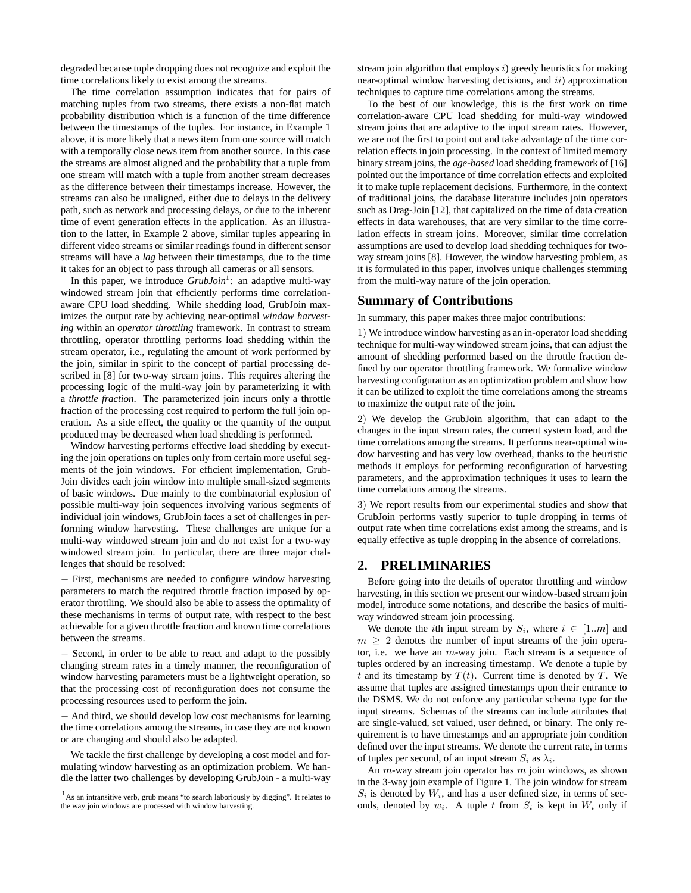degraded because tuple dropping does not recognize and exploit the time correlations likely to exist among the streams.

The time correlation assumption indicates that for pairs of matching tuples from two streams, there exists a non-flat match probability distribution which is a function of the time difference between the timestamps of the tuples. For instance, in Example 1 above, it is more likely that a news item from one source will match with a temporally close news item from another source. In this case the streams are almost aligned and the probability that a tuple from one stream will match with a tuple from another stream decreases as the difference between their timestamps increase. However, the streams can also be unaligned, either due to delays in the delivery path, such as network and processing delays, or due to the inherent time of event generation effects in the application. As an illustration to the latter, in Example 2 above, similar tuples appearing in different video streams or similar readings found in different sensor streams will have a *lag* between their timestamps, due to the time it takes for an object to pass through all cameras or all sensors.

In this paper, we introduce *GrubJoin*<sup>1</sup>: an adaptive multi-way windowed stream join that efficiently performs time correlationaware CPU load shedding. While shedding load, GrubJoin maximizes the output rate by achieving near-optimal *window harvesting* within an *operator throttling* framework. In contrast to stream throttling, operator throttling performs load shedding within the stream operator, i.e., regulating the amount of work performed by the join, similar in spirit to the concept of partial processing described in [8] for two-way stream joins. This requires altering the processing logic of the multi-way join by parameterizing it with a *throttle fraction*. The parameterized join incurs only a throttle fraction of the processing cost required to perform the full join operation. As a side effect, the quality or the quantity of the output produced may be decreased when load shedding is performed.

Window harvesting performs effective load shedding by executing the join operations on tuples only from certain more useful segments of the join windows. For efficient implementation, Grub-Join divides each join window into multiple small-sized segments of basic windows. Due mainly to the combinatorial explosion of possible multi-way join sequences involving various segments of individual join windows, GrubJoin faces a set of challenges in performing window harvesting. These challenges are unique for a multi-way windowed stream join and do not exist for a two-way windowed stream join. In particular, there are three major challenges that should be resolved:

− First, mechanisms are needed to configure window harvesting parameters to match the required throttle fraction imposed by operator throttling. We should also be able to assess the optimality of these mechanisms in terms of output rate, with respect to the best achievable for a given throttle fraction and known time correlations between the streams.

− Second, in order to be able to react and adapt to the possibly changing stream rates in a timely manner, the reconfiguration of window harvesting parameters must be a lightweight operation, so that the processing cost of reconfiguration does not consume the processing resources used to perform the join.

− And third, we should develop low cost mechanisms for learning the time correlations among the streams, in case they are not known or are changing and should also be adapted.

We tackle the first challenge by developing a cost model and formulating window harvesting as an optimization problem. We handle the latter two challenges by developing GrubJoin - a multi-way stream join algorithm that employs  $i$ ) greedy heuristics for making near-optimal window harvesting decisions, and  $ii$ ) approximation techniques to capture time correlations among the streams.

To the best of our knowledge, this is the first work on time correlation-aware CPU load shedding for multi-way windowed stream joins that are adaptive to the input stream rates. However, we are not the first to point out and take advantage of the time correlation effects in join processing. In the context of limited memory binary stream joins, the *age-based* load shedding framework of [16] pointed out the importance of time correlation effects and exploited it to make tuple replacement decisions. Furthermore, in the context of traditional joins, the database literature includes join operators such as Drag-Join [12], that capitalized on the time of data creation effects in data warehouses, that are very similar to the time correlation effects in stream joins. Moreover, similar time correlation assumptions are used to develop load shedding techniques for twoway stream joins [8]. However, the window harvesting problem, as it is formulated in this paper, involves unique challenges stemming from the multi-way nature of the join operation.

# **Summary of Contributions**

In summary, this paper makes three major contributions:

1) We introduce window harvesting as an in-operator load shedding technique for multi-way windowed stream joins, that can adjust the amount of shedding performed based on the throttle fraction defined by our operator throttling framework. We formalize window harvesting configuration as an optimization problem and show how it can be utilized to exploit the time correlations among the streams to maximize the output rate of the join.

2) We develop the GrubJoin algorithm, that can adapt to the changes in the input stream rates, the current system load, and the time correlations among the streams. It performs near-optimal window harvesting and has very low overhead, thanks to the heuristic methods it employs for performing reconfiguration of harvesting parameters, and the approximation techniques it uses to learn the time correlations among the streams.

3) We report results from our experimental studies and show that GrubJoin performs vastly superior to tuple dropping in terms of output rate when time correlations exist among the streams, and is equally effective as tuple dropping in the absence of correlations.

# **2. PRELIMINARIES**

Before going into the details of operator throttling and window harvesting, in this section we present our window-based stream join model, introduce some notations, and describe the basics of multiway windowed stream join processing.

We denote the *i*th input stream by  $S_i$ , where  $i \in [1..m]$  and  $m > 2$  denotes the number of input streams of the join operator, i.e. we have an  $m$ -way join. Each stream is a sequence of tuples ordered by an increasing timestamp. We denote a tuple by t and its timestamp by  $T(t)$ . Current time is denoted by T. We assume that tuples are assigned timestamps upon their entrance to the DSMS. We do not enforce any particular schema type for the input streams. Schemas of the streams can include attributes that are single-valued, set valued, user defined, or binary. The only requirement is to have timestamps and an appropriate join condition defined over the input streams. We denote the current rate, in terms of tuples per second, of an input stream  $S_i$  as  $\lambda_i$ .

An  $m$ -way stream join operator has  $m$  join windows, as shown in the 3-way join example of Figure 1. The join window for stream  $S_i$  is denoted by  $W_i$ , and has a user defined size, in terms of seconds, denoted by  $w_i$ . A tuple t from  $S_i$  is kept in  $W_i$  only if

 $<sup>1</sup>$ As an intransitive verb, grub means "to search laboriously by digging". It relates to</sup> the way join windows are processed with window harvesting.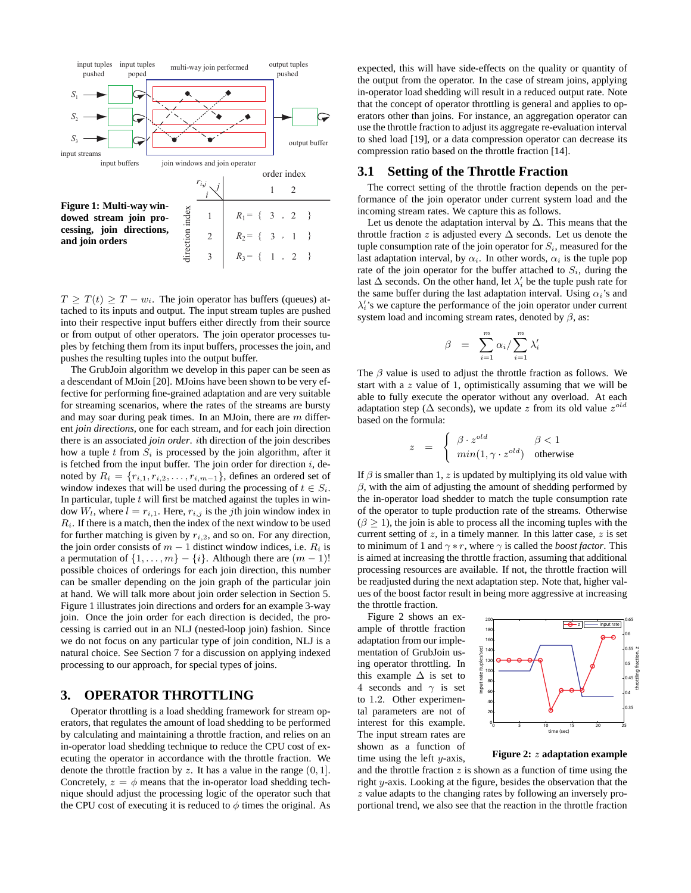

 $T \geq T(t) \geq T - w_i$ . The join operator has buffers (queues) attached to its inputs and output. The input stream tuples are pushed into their respective input buffers either directly from their source or from output of other operators. The join operator processes tuples by fetching them from its input buffers, processes the join, and pushes the resulting tuples into the output buffer.

The GrubJoin algorithm we develop in this paper can be seen as a descendant of MJoin [20]. MJoins have been shown to be very effective for performing fine-grained adaptation and are very suitable for streaming scenarios, where the rates of the streams are bursty and may soar during peak times. In an MJoin, there are  $m$  different *join directions*, one for each stream, and for each join direction there is an associated *join order*. ith direction of the join describes how a tuple  $t$  from  $S_i$  is processed by the join algorithm, after it is fetched from the input buffer. The join order for direction  $i$ , denoted by  $R_i = \{r_{i,1}, r_{i,2}, \ldots, r_{i,m-1}\}$ , defines an ordered set of window indexes that will be used during the processing of  $t \in S_i$ . In particular, tuple  $t$  will first be matched against the tuples in window  $W_l$ , where  $l = r_{i,1}$ . Here,  $r_{i,j}$  is the *j*th join window index in R*i*. If there is a match, then the index of the next window to be used for further matching is given by  $r_{i,2}$ , and so on. For any direction, the join order consists of  $m - 1$  distinct window indices, i.e.  $R_i$  is a permutation of  $\{1,\ldots,m\}-\{i\}$ . Although there are  $(m-1)!$ possible choices of orderings for each join direction, this number can be smaller depending on the join graph of the particular join at hand. We will talk more about join order selection in Section 5. Figure 1 illustrates join directions and orders for an example 3-way join. Once the join order for each direction is decided, the processing is carried out in an NLJ (nested-loop join) fashion. Since we do not focus on any particular type of join condition, NLJ is a natural choice. See Section 7 for a discussion on applying indexed processing to our approach, for special types of joins.

# **3. OPERATOR THROTTLING**

Operator throttling is a load shedding framework for stream operators, that regulates the amount of load shedding to be performed by calculating and maintaining a throttle fraction, and relies on an in-operator load shedding technique to reduce the CPU cost of executing the operator in accordance with the throttle fraction. We denote the throttle fraction by z. It has a value in the range  $(0, 1]$ . Concretely,  $z = \phi$  means that the in-operator load shedding technique should adjust the processing logic of the operator such that the CPU cost of executing it is reduced to  $\phi$  times the original. As expected, this will have side-effects on the quality or quantity of the output from the operator. In the case of stream joins, applying in-operator load shedding will result in a reduced output rate. Note that the concept of operator throttling is general and applies to operators other than joins. For instance, an aggregation operator can use the throttle fraction to adjust its aggregate re-evaluation interval to shed load [19], or a data compression operator can decrease its compression ratio based on the throttle fraction [14].

# **3.1 Setting of the Throttle Fraction**

The correct setting of the throttle fraction depends on the performance of the join operator under current system load and the incoming stream rates. We capture this as follows.

Let us denote the adaptation interval by  $\Delta$ . This means that the throttle fraction z is adjusted every  $\Delta$  seconds. Let us denote the tuple consumption rate of the join operator for  $S_i$ , measured for the last adaptation interval, by  $\alpha_i$ . In other words,  $\alpha_i$  is the tuple pop rate of the join operator for the buffer attached to  $S_i$ , during the last  $\Delta$  seconds. On the other hand, let  $\lambda_i$  be the tuple push rate for the same buffer during the last adaptation interval. Using  $\alpha_i$ 's and  $\lambda_i'$ 's we capture the performance of the join operator under current system load and incoming stream rates, denoted by  $\beta$ , as:

$$
\beta = \sum_{i=1}^{m} \alpha_i / \sum_{i=1}^{m} \lambda'_i
$$

The  $\beta$  value is used to adjust the throttle fraction as follows. We start with a  $z$  value of 1, optimistically assuming that we will be able to fully execute the operator without any overload. At each adaptation step ( $\Delta$  seconds), we update z from its old value  $z^{old}$ based on the formula:

$$
z = \begin{cases} \beta \cdot z^{old} & \beta < 1 \\ min(1, \gamma \cdot z^{old}) & \text{otherwise} \end{cases}
$$

If  $\beta$  is smaller than 1, z is updated by multiplying its old value with  $\beta$ , with the aim of adjusting the amount of shedding performed by the in-operator load shedder to match the tuple consumption rate of the operator to tuple production rate of the streams. Otherwise  $(\beta > 1)$ , the join is able to process all the incoming tuples with the current setting of  $z$ , in a timely manner. In this latter case,  $z$  is set to minimum of 1 and  $\gamma * r$ , where  $\gamma$  is called the *boost factor*. This is aimed at increasing the throttle fraction, assuming that additional processing resources are available. If not, the throttle fraction will be readjusted during the next adaptation step. Note that, higher values of the boost factor result in being more aggressive at increasing the throttle fraction.

Figure 2 shows an example of throttle fraction adaptation from our implementation of GrubJoin using operator throttling. In this example  $\Delta$  is set to 4 seconds and  $\gamma$  is set to 1.2. Other experimental parameters are not of interest for this example. The input stream rates are shown as a function of time using the left  $y$ -axis,



**Figure 2:** z **adaptation example**

and the throttle fraction  $z$  is shown as a function of time using the right y-axis. Looking at the figure, besides the observation that the z value adapts to the changing rates by following an inversely proportional trend, we also see that the reaction in the throttle fraction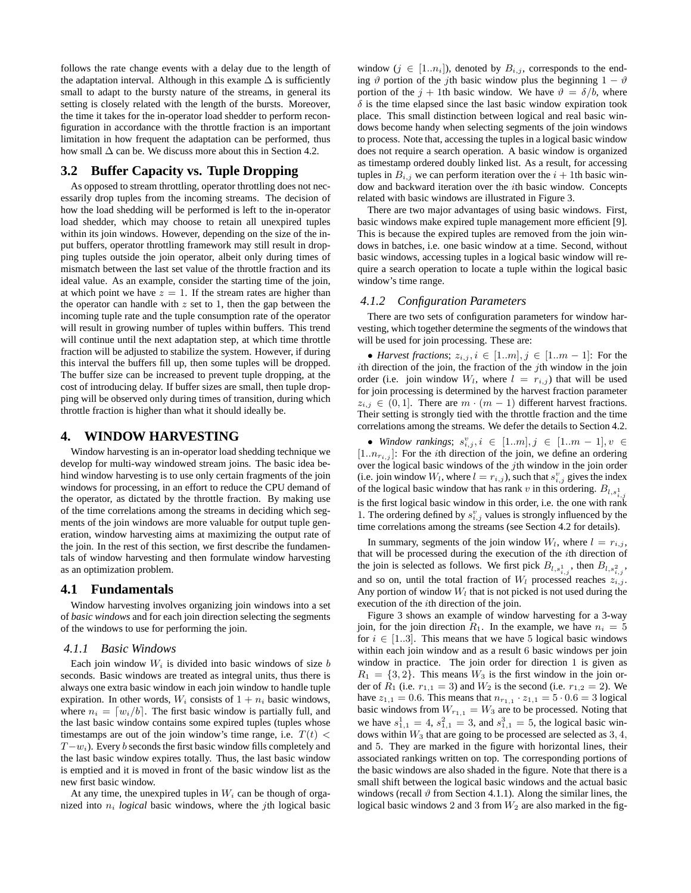follows the rate change events with a delay due to the length of the adaptation interval. Although in this example  $\Delta$  is sufficiently small to adapt to the bursty nature of the streams, in general its setting is closely related with the length of the bursts. Moreover, the time it takes for the in-operator load shedder to perform reconfiguration in accordance with the throttle fraction is an important limitation in how frequent the adaptation can be performed, thus how small  $\Delta$  can be. We discuss more about this in Section 4.2.

# **3.2 Buffer Capacity vs. Tuple Dropping**

As opposed to stream throttling, operator throttling does not necessarily drop tuples from the incoming streams. The decision of how the load shedding will be performed is left to the in-operator load shedder, which may choose to retain all unexpired tuples within its join windows. However, depending on the size of the input buffers, operator throttling framework may still result in dropping tuples outside the join operator, albeit only during times of mismatch between the last set value of the throttle fraction and its ideal value. As an example, consider the starting time of the join, at which point we have  $z = 1$ . If the stream rates are higher than the operator can handle with  $z$  set to 1, then the gap between the incoming tuple rate and the tuple consumption rate of the operator will result in growing number of tuples within buffers. This trend will continue until the next adaptation step, at which time throttle fraction will be adjusted to stabilize the system. However, if during this interval the buffers fill up, then some tuples will be dropped. The buffer size can be increased to prevent tuple dropping, at the cost of introducing delay. If buffer sizes are small, then tuple dropping will be observed only during times of transition, during which throttle fraction is higher than what it should ideally be.

# **4. WINDOW HARVESTING**

Window harvesting is an in-operator load shedding technique we develop for multi-way windowed stream joins. The basic idea behind window harvesting is to use only certain fragments of the join windows for processing, in an effort to reduce the CPU demand of the operator, as dictated by the throttle fraction. By making use of the time correlations among the streams in deciding which segments of the join windows are more valuable for output tuple generation, window harvesting aims at maximizing the output rate of the join. In the rest of this section, we first describe the fundamentals of window harvesting and then formulate window harvesting as an optimization problem.

# **4.1 Fundamentals**

Window harvesting involves organizing join windows into a set of *basic windows* and for each join direction selecting the segments of the windows to use for performing the join.

### *4.1.1 Basic Windows*

Each join window  $W_i$  is divided into basic windows of size  $b$ seconds. Basic windows are treated as integral units, thus there is always one extra basic window in each join window to handle tuple expiration. In other words,  $W_i$  consists of  $1 + n_i$  basic windows, where  $n_i = [w_i/b]$ . The first basic window is partially full, and the last basic window contains some expired tuples (tuples whose timestamps are out of the join window's time range, i.e.  $T(t)$  < T−w*i*). Every b seconds the first basic window fills completely and the last basic window expires totally. Thus, the last basic window is emptied and it is moved in front of the basic window list as the new first basic window.

At any time, the unexpired tuples in  $W_i$  can be though of organized into n*<sup>i</sup> logical* basic windows, where the jth logical basic window  $(j \in [1..n_i])$ , denoted by  $B_{i,j}$ , corresponds to the ending  $\vartheta$  portion of the jth basic window plus the beginning  $1 - \vartheta$ portion of the  $j + 1$ th basic window. We have  $\vartheta = \delta/b$ , where  $\delta$  is the time elapsed since the last basic window expiration took place. This small distinction between logical and real basic windows become handy when selecting segments of the join windows to process. Note that, accessing the tuples in a logical basic window does not require a search operation. A basic window is organized as timestamp ordered doubly linked list. As a result, for accessing tuples in  $B_{i,j}$  we can perform iteration over the  $i + 1$ th basic window and backward iteration over the ith basic window. Concepts related with basic windows are illustrated in Figure 3.

There are two major advantages of using basic windows. First, basic windows make expired tuple management more efficient [9]. This is because the expired tuples are removed from the join windows in batches, i.e. one basic window at a time. Second, without basic windows, accessing tuples in a logical basic window will require a search operation to locate a tuple within the logical basic window's time range.

### *4.1.2 Configuration Parameters*

There are two sets of configuration parameters for window harvesting, which together determine the segments of the windows that will be used for join processing. These are:

• *Harvest fractions*;  $z_{i,j}$ ,  $i \in [1..m], j \in [1..m-1]$ : For the ith direction of the join, the fraction of the jth window in the join order (i.e. join window  $W_l$ , where  $l = r_{i,j}$ ) that will be used for join processing is determined by the harvest fraction parameter  $z_{i,j} \in (0,1]$ . There are  $m \cdot (m-1)$  different harvest fractions. Their setting is strongly tied with the throttle fraction and the time correlations among the streams. We defer the details to Section 4.2.

• *Window rankings*;  $s_{i,j}^v, i \in [1..m], j \in [1..m-1], v \in$  $[1..n_{r_i,j}]$ : For the *i*th direction of the join, we define an ordering over the logical basic windows of the  $j$ th window in the join order (i.e. join window  $W_l$ , where  $l = r_{i,j}$ ), such that  $s_{i,j}^v$  gives the index of the logical basic window that has rank v in this ordering.  $B_{l,s_{i,j}^1}$ is the first logical basic window in this order, i.e. the one with rank 1. The ordering defined by  $s_{i,j}^v$  values is strongly influenced by the time correlations among the streams (see Section 4.2 for details).

In summary, segments of the join window  $W_l$ , where  $l = r_{i,j}$ , that will be processed during the execution of the ith direction of the join is selected as follows. We first pick  $B_{l,s_{i,j}^1}$ , then  $B_{l,s_{i,j}^2}$ , and so on, until the total fraction of  $W_l$  processed reaches  $z_{i,j}$ . Any portion of window  $W_l$  that is not picked is not used during the execution of the *i*th direction of the join.

Figure 3 shows an example of window harvesting for a 3-way join, for the join direction  $R_1$ . In the example, we have  $n_i = 5$ for  $i \in [1..3]$ . This means that we have 5 logical basic windows within each join window and as a result 6 basic windows per join window in practice. The join order for direction 1 is given as  $R_1 = \{3, 2\}$ . This means  $W_3$  is the first window in the join order of  $R_1$  (i.e.  $r_{1,1} = 3$ ) and  $W_2$  is the second (i.e.  $r_{1,2} = 2$ ). We have  $z_{1,1} = 0.6$ . This means that  $n_{r_{1,1}} \cdot z_{1,1} = 5 \cdot 0.6 = 3$  logical basic windows from  $W_{r_{1,1}} = W_3$  are to be processed. Noting that we have  $s_{1,1}^1 = 4$ ,  $s_{1,1}^2 = 3$ , and  $s_{1,1}^3 = 5$ , the logical basic windows within  $W_3$  that are going to be processed are selected as  $3, 4$ , and 5. They are marked in the figure with horizontal lines, their associated rankings written on top. The corresponding portions of the basic windows are also shaded in the figure. Note that there is a small shift between the logical basic windows and the actual basic windows (recall  $\vartheta$  from Section 4.1.1). Along the similar lines, the logical basic windows 2 and 3 from  $W_2$  are also marked in the fig-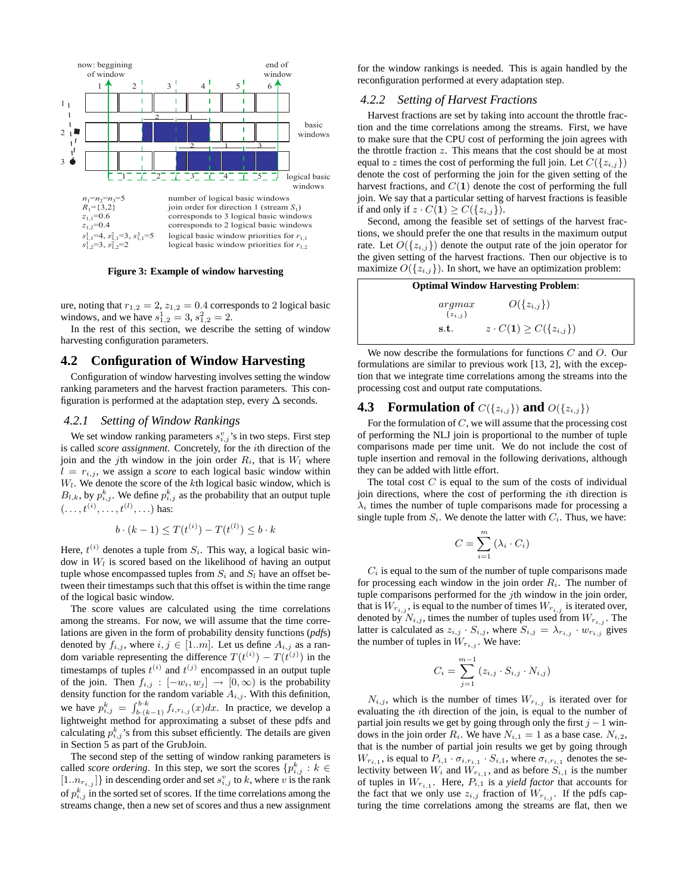

**Figure 3: Example of window harvesting**

ure, noting that  $r_{1,2} = 2$ ,  $z_{1,2} = 0.4$  corresponds to 2 logical basic windows, and we have  $s_{1,2}^1 = 3$ ,  $s_{1,2}^2 = 2$ .

In the rest of this section, we describe the setting of window harvesting configuration parameters.

# **4.2 Configuration of Window Harvesting**

Configuration of window harvesting involves setting the window ranking parameters and the harvest fraction parameters. This configuration is performed at the adaptation step, every  $\Delta$  seconds.

#### *4.2.1 Setting of Window Rankings*

We set window ranking parameters  $s_{i,j}^v$ 's in two steps. First step is called *score assignment*. Concretely, for the ith direction of the join and the jth window in the join order  $R_i$ , that is  $W_l$  where  $l = r_{i,j}$ , we assign a *score* to each logical basic window within W*l*. We denote the score of the kth logical basic window, which is  $B_{l,k}$ , by  $p_{i,j}^k$ . We define  $p_{i,j}^k$  as the probability that an output tuple  $(...,t^{(i)},...,t^{(l)},...)$  has:

$$
b \cdot (k-1) \le T(t^{(i)}) - T(t^{(l)}) \le b \cdot k
$$

Here,  $t^{(i)}$  denotes a tuple from  $S_i$ . This way, a logical basic window in W*<sup>l</sup>* is scored based on the likelihood of having an output tuple whose encompassed tuples from  $S_i$  and  $S_l$  have an offset between their timestamps such that this offset is within the time range of the logical basic window.

The score values are calculated using the time correlations among the streams. For now, we will assume that the time correlations are given in the form of probability density functions (*pdf*s) denoted by  $f_{i,j}$ , where  $i, j \in [1..m]$ . Let us define  $A_{i,j}$  as a random variable representing the difference  $T(t^{(i)}) - T(t^{(j)})$  in the timestamps of tuples  $t^{(i)}$  and  $t^{(j)}$  encompassed in an output tuple of the join. Then  $f_{i,j} : [-w_i, w_j] \rightarrow [0, \infty)$  is the probability density function for the random variable  $A_{i,j}$ . With this definition, we have  $p_{i,j}^k = \int_{b_k(k-1)}^{b_k} f_{i,r_{i,j}}(x) dx$ . In practice, we develop a lightweight method for approximating a subset of these pdfs and calculating  $p_{i,j}^k$ 's from this subset efficiently. The details are given in Section 5 as part of the GrubJoin.

The second step of the setting of window ranking parameters is called *score ordering*. In this step, we sort the scores  $\{p_{i,j}^k : k \in$  $[1..n_{r_{i,j}}]$ } in descending order and set  $s_{i,j}^v$  to k, where v is the rank of  $p_{i,j}^k$  in the sorted set of scores. If the time correlations among the streams change, then a new set of scores and thus a new assignment for the window rankings is needed. This is again handled by the reconfiguration performed at every adaptation step.

### *4.2.2 Setting of Harvest Fractions*

Harvest fractions are set by taking into account the throttle fraction and the time correlations among the streams. First, we have to make sure that the CPU cost of performing the join agrees with the throttle fraction z. This means that the cost should be at most equal to z times the cost of performing the full join. Let  $C({z_{i,j}})$ denote the cost of performing the join for the given setting of the harvest fractions, and  $C(1)$  denote the cost of performing the full join. We say that a particular setting of harvest fractions is feasible if and only if  $z \cdot C(1) \geq C({z_{i,j}})$ .

Second, among the feasible set of settings of the harvest fractions, we should prefer the one that results in the maximum output rate. Let  $O({z_{i,j}})$  denote the output rate of the join operator for the given setting of the harvest fractions. Then our objective is to maximize  $O({z_{i,j}})$ . In short, we have an optimization problem:

| <b>Optimal Window Harvesting Problem:</b> |                                  |
|-------------------------------------------|----------------------------------|
| argmax<br>$\{z_{i,j}\}\$                  | $O({z_{i,j}})$                   |
| s.t.                                      | $z \cdot C(1) \geq C({z_{i,j}})$ |

We now describe the formulations for functions  $C$  and  $O$ . Our formulations are similar to previous work [13, 2], with the exception that we integrate time correlations among the streams into the processing cost and output rate computations.

# **4.3** Formulation of  $C(\{z_{i,j}\})$  and  $O(\{z_{i,j}\})$

For the formulation of  $C$ , we will assume that the processing cost of performing the NLJ join is proportional to the number of tuple comparisons made per time unit. We do not include the cost of tuple insertion and removal in the following derivations, although they can be added with little effort.

The total cost  $C$  is equal to the sum of the costs of individual join directions, where the cost of performing the ith direction is  $\lambda_i$  times the number of tuple comparisons made for processing a single tuple from  $S_i$ . We denote the latter with  $C_i$ . Thus, we have:

$$
C = \sum_{i=1}^{m} (\lambda_i \cdot C_i)
$$

 $C_i$  is equal to the sum of the number of tuple comparisons made for processing each window in the join order  $R_i$ . The number of tuple comparisons performed for the  $j$ th window in the join order, that is  $W_{r_{i,j}}$ , is equal to the number of times  $W_{r_{i,j}}$  is iterated over, denoted by  $N_{i,j}$ , times the number of tuples used from  $W_{r_{i,j}}$ . The latter is calculated as  $z_{i,j} \cdot S_{i,j}$ , where  $S_{i,j} = \lambda_{r_{i,j}} \cdot w_{r_{i,j}}$  gives the number of tuples in  $W_{r_{i,j}}$ . We have:

$$
C_i = \sum_{j=1}^{m-1} (z_{i,j} \cdot S_{i,j} \cdot N_{i,j})
$$

 $N_{i,j}$ , which is the number of times  $W_{r_{i,j}}$  is iterated over for evaluating the ith direction of the join, is equal to the number of partial join results we get by going through only the first  $j - 1$  windows in the join order  $R_i$ . We have  $N_{i,1} = 1$  as a base case.  $N_{i,2}$ , that is the number of partial join results we get by going through  $W_{r_{i,1}}$ , is equal to  $P_{i,1} \cdot \sigma_{i,r_{i,1}} \cdot S_{i,1}$ , where  $\sigma_{i,r_{i,1}}$  denotes the selectivity between  $W_i$  and  $W_{r_{i,1}}$ , and as before  $S_{i,1}$  is the number of tuples in  $W_{r_{i,1}}$ . Here,  $P_{i,1}$  is a *yield factor* that accounts for the fact that we only use  $z_{i,j}$  fraction of  $W_{r_{i,j}}$ . If the pdfs capturing the time correlations among the streams are flat, then we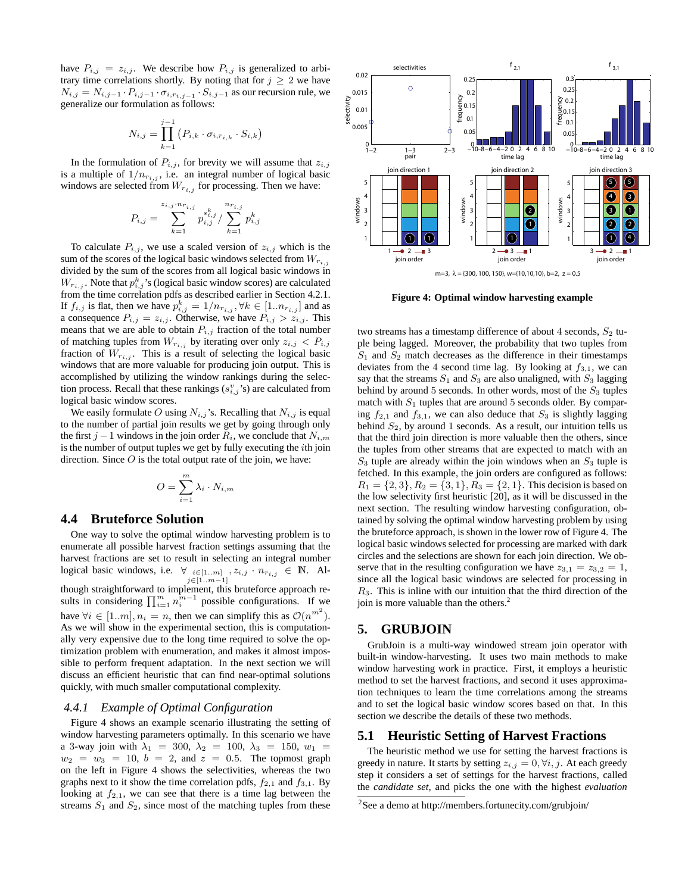have  $P_{i,j} = z_{i,j}$ . We describe how  $P_{i,j}$  is generalized to arbitrary time correlations shortly. By noting that for  $j \geq 2$  we have  $N_{i,j} = N_{i,j-1} \cdot P_{i,j-1} \cdot \sigma_{i,r_{i,j-1}} \cdot S_{i,j-1}$  as our recursion rule, we generalize our formulation as follows:

$$
N_{i,j} = \prod_{k=1}^{j-1} (P_{i,k} \cdot \sigma_{i,r_{i,k}} \cdot S_{i,k})
$$

In the formulation of  $P_{i,j}$ , for brevity we will assume that  $z_{i,j}$ is a multiple of  $1/n_{r_i}$ , *i.e.* an integral number of logical basic windows are selected from  $W_{r_{i,j}}$  for processing. Then we have:

$$
P_{i,j} = \sum_{k=1}^{z_{i,j} \cdot n_{r_{i,j}}} p_{i,j}^{s_{i,j}^k} / \sum_{k=1}^{n_{r_{i,j}}} p_{i,j}^k
$$

To calculate  $P_{i,j}$ , we use a scaled version of  $z_{i,j}$  which is the sum of the scores of the logical basic windows selected from  $W_{r_{i,j}}$ divided by the sum of the scores from all logical basic windows in  $W_{r_{i,j}}$ . Note that  $p_{i,j}^k$ 's (logical basic window scores) are calculated from the time correlation pdfs as described earlier in Section 4.2.1. If  $f_{i,j}$  is flat, then we have  $p_{i,j}^k = 1/n_{r_{i,j}}$ ,  $\forall k \in [1..n_{r_{i,j}}]$  and as a consequence  $P_{i,j} = z_{i,j}$ . Otherwise, we have  $P_{i,j} > z_{i,j}$ . This means that we are able to obtain  $P_{i,j}$  fraction of the total number of matching tuples from  $W_{r_{i,j}}$  by iterating over only  $z_{i,j} < P_{i,j}$ fraction of  $W_{r_{i,j}}$ . This is a result of selecting the logical basic windows that are more valuable for producing join output. This is accomplished by utilizing the window rankings during the selection process. Recall that these rankings  $(s_{i,j}^v)$  are calculated from logical basic window scores.

We easily formulate O using  $N_{i,j}$ 's. Recalling that  $N_{i,j}$  is equal to the number of partial join results we get by going through only the first  $j - 1$  windows in the join order  $R_i$ , we conclude that  $N_{i,m}$ is the number of output tuples we get by fully executing the  $i$ th join direction. Since  $O$  is the total output rate of the join, we have:

$$
O = \sum_{i=1}^{m} \lambda_i \cdot N_{i,m}
$$

# **4.4 Bruteforce Solution**

One way to solve the optimal window harvesting problem is to enumerate all possible harvest fraction settings assuming that the harvest fractions are set to result in selecting an integral number logical basic windows, i.e.  $\forall i \in [1..m], \, z_{i,j} \in \mathbb{N}$ . Al-<br> $j \in [1..m-1]$ though straightforward to implement, this bruteforce approach results in considering  $\prod_{i=1}^{m} n_i^{m-1}$  possible configurations. If we have  $\forall i \in [1..m], n_i = n$ , then we can simplify this as  $\mathcal{O}(n^{m^2})$ . As we will show in the experimental section, this is computationally very expensive due to the long time required to solve the optimization problem with enumeration, and makes it almost impossible to perform frequent adaptation. In the next section we will discuss an efficient heuristic that can find near-optimal solutions quickly, with much smaller computational complexity.

### *4.4.1 Example of Optimal Configuration*

Figure 4 shows an example scenario illustrating the setting of window harvesting parameters optimally. In this scenario we have a 3-way join with  $\lambda_1 = 300$ ,  $\lambda_2 = 100$ ,  $\lambda_3 = 150$ ,  $w_1 =$  $w_2 = w_3 = 10$ ,  $b = 2$ , and  $z = 0.5$ . The topmost graph on the left in Figure 4 shows the selectivities, whereas the two graphs next to it show the time correlation pdfs,  $f_{2,1}$  and  $f_{3,1}$ . By looking at  $f_{2,1}$ , we can see that there is a time lag between the streams  $S_1$  and  $S_2$ , since most of the matching tuples from these



**Figure 4: Optimal window harvesting example**

two streams has a timestamp difference of about 4 seconds,  $S_2$  tuple being lagged. Moreover, the probability that two tuples from  $S_1$  and  $S_2$  match decreases as the difference in their timestamps deviates from the 4 second time lag. By looking at  $f_{3,1}$ , we can say that the streams  $S_1$  and  $S_3$  are also unaligned, with  $S_3$  lagging behind by around 5 seconds. In other words, most of the  $S_3$  tuples match with  $S_1$  tuples that are around 5 seconds older. By comparing  $f_{2,1}$  and  $f_{3,1}$ , we can also deduce that  $S_3$  is slightly lagging behind  $S_2$ , by around 1 seconds. As a result, our intuition tells us that the third join direction is more valuable then the others, since the tuples from other streams that are expected to match with an  $S_3$  tuple are already within the join windows when an  $S_3$  tuple is fetched. In this example, the join orders are configured as follows:  $R_1 = \{2, 3\}, R_2 = \{3, 1\}, R_3 = \{2, 1\}.$  This decision is based on the low selectivity first heuristic [20], as it will be discussed in the next section. The resulting window harvesting configuration, obtained by solving the optimal window harvesting problem by using the bruteforce approach, is shown in the lower row of Figure 4. The logical basic windows selected for processing are marked with dark circles and the selections are shown for each join direction. We observe that in the resulting configuration we have  $z_{3,1} = z_{3,2} = 1$ , since all the logical basic windows are selected for processing in  $R<sub>3</sub>$ . This is inline with our intuition that the third direction of the join is more valuable than the others.<sup>2</sup>

# **5. GRUBJOIN**

GrubJoin is a multi-way windowed stream join operator with built-in window-harvesting. It uses two main methods to make window harvesting work in practice. First, it employs a heuristic method to set the harvest fractions, and second it uses approximation techniques to learn the time correlations among the streams and to set the logical basic window scores based on that. In this section we describe the details of these two methods.

### **5.1 Heuristic Setting of Harvest Fractions**

The heuristic method we use for setting the harvest fractions is greedy in nature. It starts by setting  $z_{i,j} = 0, \forall i, j$ . At each greedy step it considers a set of settings for the harvest fractions, called the *candidate set*, and picks the one with the highest *evaluation*

<sup>&</sup>lt;sup>2</sup>See a demo at http://members.fortunecity.com/grubjoin/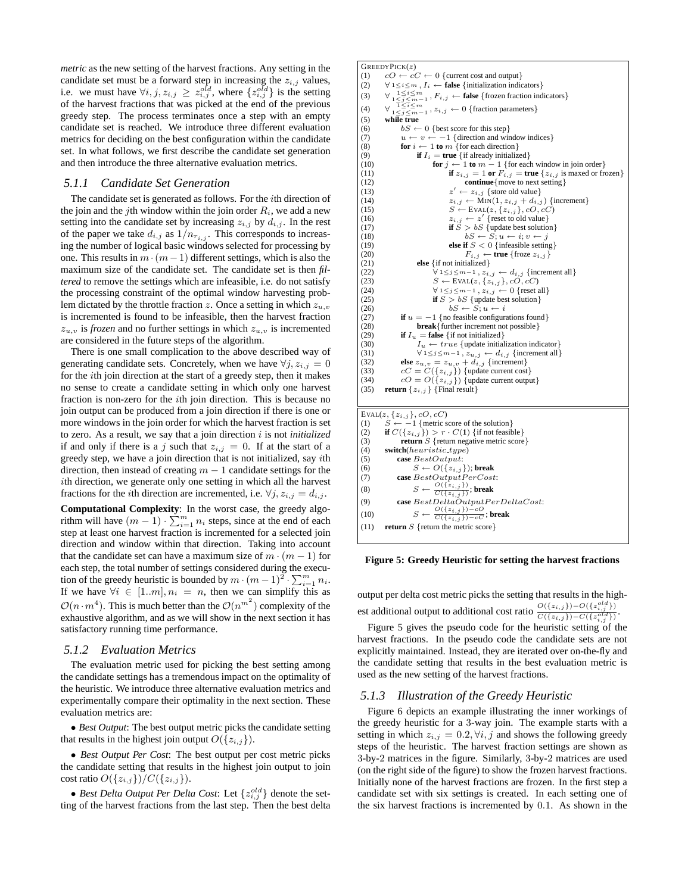*metric* as the new setting of the harvest fractions. Any setting in the candidate set must be a forward step in increasing the  $z_{i,j}$  values, i.e. we must have  $\forall i, j, z_{i,j} \geq z_{i,j}^{old}$ , where  $\{z_{i,j}^{old}\}$  is the setting of the harvest fractions that was picked at the end of the previous greedy step. The process terminates once a step with an empty candidate set is reached. We introduce three different evaluation metrics for deciding on the best configuration within the candidate set. In what follows, we first describe the candidate set generation and then introduce the three alternative evaluation metrics.

### *5.1.1 Candidate Set Generation*

The candidate set is generated as follows. For the ith direction of the join and the jth window within the join order  $R_i$ , we add a new setting into the candidate set by increasing  $z_{i,j}$  by  $d_{i,j}$ . In the rest of the paper we take  $d_{i,j}$  as  $1/n_{r_{i,j}}$ . This corresponds to increasing the number of logical basic windows selected for processing by one. This results in  $m \cdot (m-1)$  different settings, which is also the maximum size of the candidate set. The candidate set is then *filtered* to remove the settings which are infeasible, i.e. do not satisfy the processing constraint of the optimal window harvesting problem dictated by the throttle fraction z. Once a setting in which z*u,v* is incremented is found to be infeasible, then the harvest fraction  $z_{u,v}$  is *frozen* and no further settings in which  $z_{u,v}$  is incremented are considered in the future steps of the algorithm.

There is one small complication to the above described way of generating candidate sets. Concretely, when we have  $\forall j, z_{i,j} = 0$ for the ith join direction at the start of a greedy step, then it makes no sense to create a candidate setting in which only one harvest fraction is non-zero for the *i*th join direction. This is because no join output can be produced from a join direction if there is one or more windows in the join order for which the harvest fraction is set to zero. As a result, we say that a join direction i is not *initialized* if and only if there is a j such that  $z_{i,j} = 0$ . If at the start of a greedy step, we have a join direction that is not initialized, say ith direction, then instead of creating  $m - 1$  candidate settings for the ith direction, we generate only one setting in which all the harvest fractions for the *i*th direction are incremented, i.e.  $\forall j, z_{i,j} = d_{i,j}$ .

**Computational Complexity**: In the worst case, the greedy algorithm will have  $(m - 1) \cdot \sum_{i=1}^{m} n_i$  steps, since at the end of each step at least one harvest fraction is incremented for a selected join direction and window within that direction. Taking into account that the candidate set can have a maximum size of  $m \cdot (m-1)$  for each step, the total number of settings considered during the execution of the greedy heuristic is bounded by  $m \cdot (m-1)^2 \cdot \sum_{i=1}^{m} n_i$ . If we have  $\forall i \in [1..m], n_i = n$ , then we can simplify this as  $\mathcal{O}(n \cdot m^4)$ . This is much better than the  $\mathcal{O}(n^{m^2})$  complexity of the exhaustive algorithm, and as we will show in the next section it has satisfactory running time performance.

#### *5.1.2 Evaluation Metrics*

The evaluation metric used for picking the best setting among the candidate settings has a tremendous impact on the optimality of the heuristic. We introduce three alternative evaluation metrics and experimentally compare their optimality in the next section. These evaluation metrics are:

• *Best Output*: The best output metric picks the candidate setting that results in the highest join output  $O({z_{i,j}})$ .

• *Best Output Per Cost*: The best output per cost metric picks the candidate setting that results in the highest join output to join cost ratio  $O({z_{i,j}})/C({z_{i,j}})$ .

• *Best Delta Output Per Delta Cost*: Let  $\{z_{i,j}^{old}\}$  denote the setting of the harvest fractions from the last step. Then the best delta

```
GREEDYPICK(z)
(1) cO \leftarrow cC \leftarrow 0 {current cost and output}<br>(2) \forall 1 \leq i \leq m, I_i \leftarrow false {initialization indic
          (2) ∀ 1≤i≤m , Ii ← false {initialization indicators}
(3) \forall \frac{1 \leq i \leq m}{1 \leq j \leq m-1}, F_{i,j} \leftarrow \textbf{false} \{\text{frozen fraction indicators}\}(4) ∀ 1≤i≤m
1≤j≤m−1 , zi,j ← 0 {fraction parameters}
(5) while true<br>(6) bS \leftarrow(6) bS \leftarrow 0 {best score for this step}<br>(7) u \leftarrow v \leftarrow -1 {direction and win
(7) u \leftarrow v \leftarrow -1 {direction and window indices}<br>(8) for i \leftarrow 1 to m {for each direction}
(8) for i \leftarrow 1 to m {for each direction}<br>(9) if I_i = true {if already initialize
(9) if I_i = true {if already initialized}<br>(10) for i \leftarrow 1 to m - 1 {for each
                                for j \leftarrow 1 to m - 1 {for each window in join order}
(11) if z_{i,j} = 1 or \overrightarrow{F_i}_{,j} = true \{z_{i,j} \text{ is marked or frozen}\}(12) continue{move to next setting}
(13) z'(13) z' \leftarrow z_{i,j} {store old value}<br>
z_{i,j} \leftarrow \text{MIN}(1, z_{i,j} + d_{i,j}) {increment}
(15) S \leftarrow \text{EVAL}(z, \{z_{i,j}\}, cO, cC)<br>
(16) z_{i,j} \leftarrow z' \{\text{reset to old value}\}\<br>
(17) if S > bS \{\text{update best solution}\}\(18) bS \leftarrow S; u \leftarrow i; v \leftarrow j<br>
(19) else if S < 0 {infeasible setting}
(20) F_{i,j} \leftarrow \text{true} \{\text{frozen } z_{i,j}\}(21) else {if not initialized}
(22) \forall 1≤j≤m−1, zi,j ← di,j {increment all}
(23) S \leftarrow \text{EVAL}(z, \{z_{i,j}\}, cO, cC)<br>
(24) ∀ 1≤j≤m−1, z_{i,j} ← 0 {reset all}
(25) if S > bS {update best solution}<br>(26) if S \leftarrow S; u \leftarrow ibS \leftarrow S; u \leftarrow i(27) if u = -1 {no feasible configurations found}<br>(28) break { further increment not possible }
(28) break {further increment not possible }<br>(29) if I_u = false {if not initialized}
                  if I_u = false {if not initialized}
(30) I_u \leftarrow true {update initialization indicator}<br>(31) \forall 1 \leq j \leq m-1, z_{u,j} \leftarrow d_{i,j} {increment all}
(31) \forall 1 \leq j \leq m-1, z_{u,j} \leftarrow d_{i,j} {increment all}<br>
(32) else z_{u,v} = z_{u,v} + d_{i,j} {increment}<br>
(33) cC = C(\{z_{i,j}\}) {update current cost}
(33) cC = C({z_{i,j}}) {update current cost}<br>
(34) cO = O({z_{i,j}}) {update current output}<br>
(35) return {z_{i,j}} {Final result}
          return \{z_{i,j}\} {Final result}
EVAL(z, \{z_{i,j}\}, cO, cC)(1) S \leftarrow -1 {metric score of the solution}<br>
(2) if C({z_{i,j}}) > r \cdot C(1) {if not feasible}
(3) return S {return negative metric score}
(4) switch(heuristic type)
(5) case BestOutput:
(6) S \leftarrow O(\{z_{i,j}\}); break<br>
(7) case BestOutputPerCost:
(8) S \leftarrow \frac{O(\{\hat{z}_{i,j}\})}{C(\{\hat{z}_{i,j}\})}; break
(9) case BestDeltaOutputP erDeltaCost:
(10) S ← O({zi,j })−cO
C({zi,j })−cC ; break
(11) return S {return the metric score}
```
#### **Figure 5: Greedy Heuristic for setting the harvest fractions**

output per delta cost metric picks the setting that results in the highest additional output to additional cost ratio  $\frac{O({{z_i}_j}) - O({{z_i}_j^{\text{old}}})}{C({{z_i}_j}) - C({{z_i}_j^{\text{old}}})}$ .

Figure 5 gives the pseudo code for the heuristic setting of the harvest fractions. In the pseudo code the candidate sets are not explicitly maintained. Instead, they are iterated over on-the-fly and the candidate setting that results in the best evaluation metric is used as the new setting of the harvest fractions.

#### *5.1.3 Illustration of the Greedy Heuristic*

Figure 6 depicts an example illustrating the inner workings of the greedy heuristic for a 3-way join. The example starts with a setting in which  $z_{i,j} = 0.2, \forall i, j$  and shows the following greedy steps of the heuristic. The harvest fraction settings are shown as 3-by-2 matrices in the figure. Similarly, 3-by-2 matrices are used (on the right side of the figure) to show the frozen harvest fractions. Initially none of the harvest fractions are frozen. In the first step a candidate set with six settings is created. In each setting one of the six harvest fractions is incremented by 0.1. As shown in the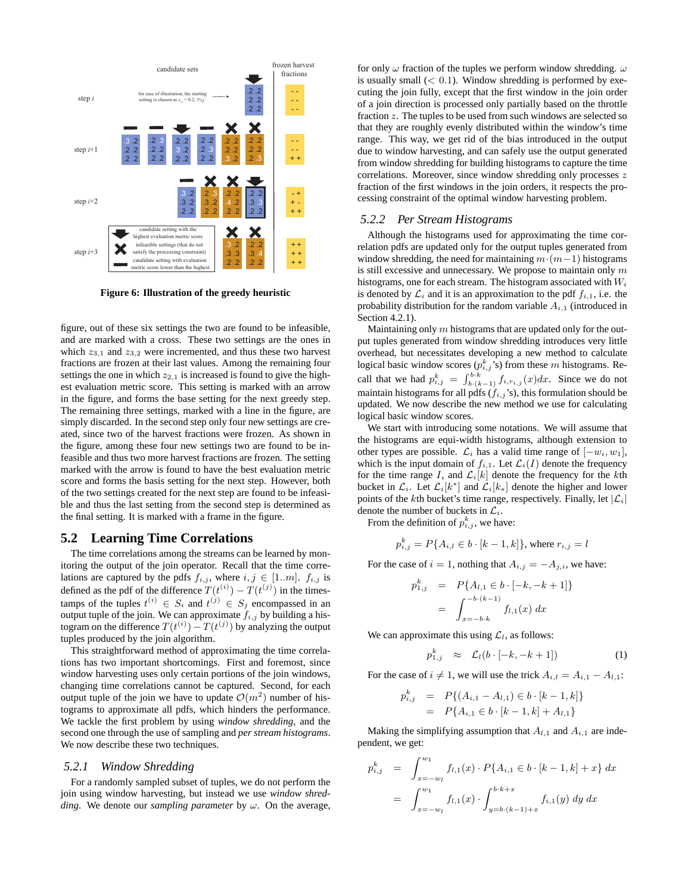

**Figure 6: Illustration of the greedy heuristic**

figure, out of these six settings the two are found to be infeasible, and are marked with a cross. These two settings are the ones in which  $z_{3,1}$  and  $z_{3,2}$  were incremented, and thus these two harvest fractions are frozen at their last values. Among the remaining four settings the one in which  $z_{2,1}$  is increased is found to give the highest evaluation metric score. This setting is marked with an arrow in the figure, and forms the base setting for the next greedy step. The remaining three settings, marked with a line in the figure, are simply discarded. In the second step only four new settings are created, since two of the harvest fractions were frozen. As shown in the figure, among these four new settings two are found to be infeasible and thus two more harvest fractions are frozen. The setting marked with the arrow is found to have the best evaluation metric score and forms the basis setting for the next step. However, both of the two settings created for the next step are found to be infeasible and thus the last setting from the second step is determined as the final setting. It is marked with a frame in the figure.

### **5.2 Learning Time Correlations**

The time correlations among the streams can be learned by monitoring the output of the join operator. Recall that the time correlations are captured by the pdfs  $f_{i,j}$ , where  $i, j \in [1..m]$ .  $f_{i,j}$  is defined as the pdf of the difference  $T(t^{(i)}) - T(t^{(j)})$  in the timestamps of the tuples  $t^{(i)} \in S_i$  and  $t^{(j)} \in S_j$  encompassed in an output tuple of the join. We can approximate  $f_{i,j}$  by building a histogram on the difference  $T(t^{(i)}) - T(t^{(j)})$  by analyzing the output tuples produced by the join algorithm.

This straightforward method of approximating the time correlations has two important shortcomings. First and foremost, since window harvesting uses only certain portions of the join windows, changing time correlations cannot be captured. Second, for each output tuple of the join we have to update  $\mathcal{O}(m^2)$  number of histograms to approximate all pdfs, which hinders the performance. We tackle the first problem by using *window shredding*, and the second one through the use of sampling and *per stream histograms*. We now describe these two techniques.

#### *5.2.1 Window Shredding*

For a randomly sampled subset of tuples, we do not perform the join using window harvesting, but instead we use *window shredding*. We denote our *sampling parameter* by ω. On the average,

for only  $\omega$  fraction of the tuples we perform window shredding.  $\omega$ is usually small  $( $0.1$ ). Window shredding is performed by exe$ cuting the join fully, except that the first window in the join order of a join direction is processed only partially based on the throttle fraction z. The tuples to be used from such windows are selected so that they are roughly evenly distributed within the window's time range. This way, we get rid of the bias introduced in the output due to window harvesting, and can safely use the output generated from window shredding for building histograms to capture the time correlations. Moreover, since window shredding only processes z fraction of the first windows in the join orders, it respects the processing constraint of the optimal window harvesting problem.

### *5.2.2 Per Stream Histograms*

Although the histograms used for approximating the time correlation pdfs are updated only for the output tuples generated from window shredding, the need for maintaining  $m \cdot (m-1)$  histograms is still excessive and unnecessary. We propose to maintain only  $m$ histograms, one for each stream. The histogram associated with W*<sup>i</sup>* is denoted by  $\mathcal{L}_i$  and it is an approximation to the pdf  $f_{i,1}$ , i.e. the probability distribution for the random variable  $A_{i,1}$  (introduced in Section 4.2.1).

Maintaining only  $m$  histograms that are updated only for the output tuples generated from window shredding introduces very little overhead, but necessitates developing a new method to calculate logical basic window scores  $(p_{i,j}^k)$  is) from these m histograms. Recall that we had  $p_{i,j}^k = \int_{b \cdot (k-1)}^{b \cdot k} f_{i,r_{i,j}}(x) dx$ . Since we do not maintain histograms for all pdfs (f*i,j* 's), this formulation should be updated. We now describe the new method we use for calculating logical basic window scores.

We start with introducing some notations. We will assume that the histograms are equi-width histograms, although extension to other types are possible.  $\mathcal{L}_i$  has a valid time range of  $[-w_i, w_1]$ , which is the input domain of  $f_{i,1}$ . Let  $\mathcal{L}_i(I)$  denote the frequency for the time range I, and  $\mathcal{L}_i[k]$  denote the frequency for the kth bucket in  $\mathcal{L}_i$ . Let  $\mathcal{L}_i[k^*]$  and  $\mathcal{L}_i[k_*]$  denote the higher and lower points of the kth bucket's time range, respectively. Finally, let  $|\mathcal{L}_i|$ denote the number of buckets in  $\mathcal{L}_i$ .

From the definition of  $p_{i,j}^k$ , we have:

$$
p_{i,j}^k = P\{A_{i,l} \in b \cdot [k-1,k]\}\text{, where } r_{i,j} = l
$$

For the case of  $i = 1$ , nothing that  $A_{i,j} = -A_{j,i}$ , we have:

$$
p_{1,j}^k = P\{A_{l,1} \in b \cdot [-k, -k+1]\}
$$

$$
= \int_{x=-b \cdot k}^{-b \cdot (k-1)} f_{l,1}(x) dx
$$

We can approximate this using  $\mathcal{L}_l$ , as follows:

$$
p_{1,j}^k \approx \mathcal{L}_l(b \cdot [-k, -k+1]) \tag{1}
$$

For the case of  $i \neq 1$ , we will use the trick  $A_{i,l} = A_{i,1} - A_{l,1}$ :

$$
p_{i,j}^k = P\{(A_{i,1} - A_{i,1}) \in b \cdot [k-1,k]\}
$$
  
=  $P\{A_{i,1} \in b \cdot [k-1,k] + A_{i,1}\}$ 

Making the simplifying assumption that  $A_{l,1}$  and  $A_{i,1}$  are independent, we get:

$$
p_{i,j}^k = \int_{x=-w_l}^{w_1} f_{l,1}(x) \cdot P\{A_{i,1} \in b \cdot [k-1,k] + x\} dx
$$
  
= 
$$
\int_{x=-w_l}^{w_1} f_{l,1}(x) \cdot \int_{y=b \cdot (k-1)+x}^{b \cdot k+x} f_{i,1}(y) dy dx
$$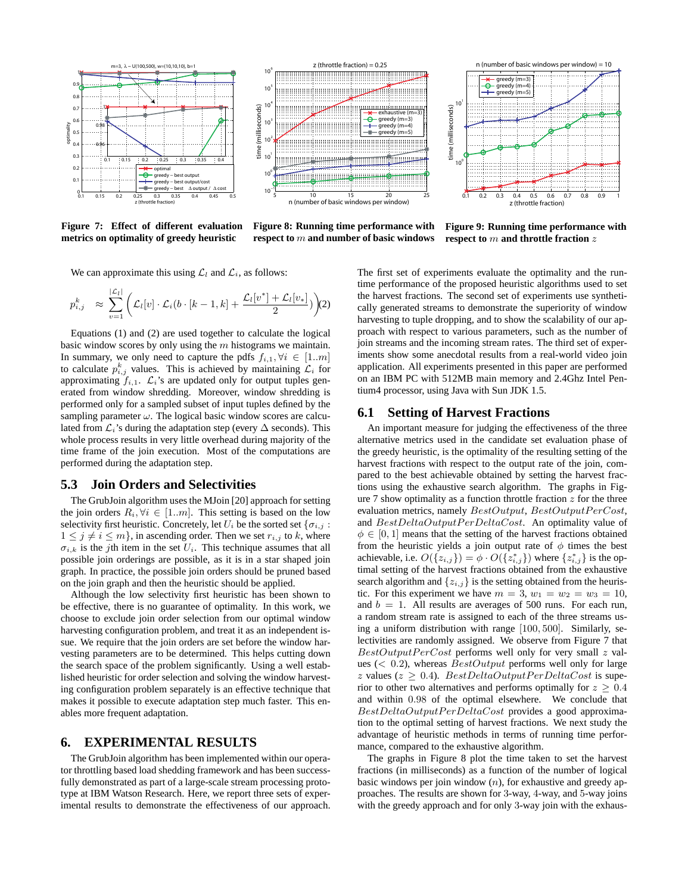

**Figure 7: Effect of different evaluation metrics on optimality of greedy heuristic**

**Figure 8: Running time performance with respect to** m **and number of basic windows**

**Figure 9: Running time performance with respect to** m **and throttle fraction** z

We can approximate this using  $\mathcal{L}_l$  and  $\mathcal{L}_i$ , as follows:

$$
p_{i,j}^k \approx \sum_{v=1}^{|\mathcal{L}_l|} \left( \mathcal{L}_l[v] \cdot \mathcal{L}_i(b \cdot [k-1,k] + \frac{\mathcal{L}_l[v^*] + \mathcal{L}_l[v_*]}{2} \right) (2)
$$

Equations (1) and (2) are used together to calculate the logical basic window scores by only using the  $m$  histograms we maintain. In summary, we only need to capture the pdfs  $f_{i,1}, \forall i \in [1..m]$ to calculate  $p_{i,j}^k$  values. This is achieved by maintaining  $\mathcal{L}_i$  for approximating  $f_{i,1}$ .  $\mathcal{L}_i$ 's are updated only for output tuples generated from window shredding. Moreover, window shredding is performed only for a sampled subset of input tuples defined by the sampling parameter  $\omega$ . The logical basic window scores are calculated from  $\mathcal{L}_i$ 's during the adaptation step (every  $\Delta$  seconds). This whole process results in very little overhead during majority of the time frame of the join execution. Most of the computations are performed during the adaptation step.

# **5.3 Join Orders and Selectivities**

The GrubJoin algorithm uses the MJoin [20] approach for setting the join orders  $R_i, \forall i \in [1..m]$ . This setting is based on the low selectivity first heuristic. Concretely, let  $U_i$  be the sorted set  $\{\sigma_{i,j}:$  $1 \leq j \neq i \leq m$ , in ascending order. Then we set  $r_{i,j}$  to k, where  $\sigma_{i,k}$  is the *j*th item in the set  $U_i$ . This technique assumes that all possible join orderings are possible, as it is in a star shaped join graph. In practice, the possible join orders should be pruned based on the join graph and then the heuristic should be applied.

Although the low selectivity first heuristic has been shown to be effective, there is no guarantee of optimality. In this work, we choose to exclude join order selection from our optimal window harvesting configuration problem, and treat it as an independent issue. We require that the join orders are set before the window harvesting parameters are to be determined. This helps cutting down the search space of the problem significantly. Using a well established heuristic for order selection and solving the window harvesting configuration problem separately is an effective technique that makes it possible to execute adaptation step much faster. This enables more frequent adaptation.

# **6. EXPERIMENTAL RESULTS**

The GrubJoin algorithm has been implemented within our operator throttling based load shedding framework and has been successfully demonstrated as part of a large-scale stream processing prototype at IBM Watson Research. Here, we report three sets of experimental results to demonstrate the effectiveness of our approach. The first set of experiments evaluate the optimality and the runtime performance of the proposed heuristic algorithms used to set the harvest fractions. The second set of experiments use synthetically generated streams to demonstrate the superiority of window harvesting to tuple dropping, and to show the scalability of our approach with respect to various parameters, such as the number of join streams and the incoming stream rates. The third set of experiments show some anecdotal results from a real-world video join application. All experiments presented in this paper are performed on an IBM PC with 512MB main memory and 2.4Ghz Intel Pentium4 processor, using Java with Sun JDK 1.5.

# **6.1 Setting of Harvest Fractions**

An important measure for judging the effectiveness of the three alternative metrics used in the candidate set evaluation phase of the greedy heuristic, is the optimality of the resulting setting of the harvest fractions with respect to the output rate of the join, compared to the best achievable obtained by setting the harvest fractions using the exhaustive search algorithm. The graphs in Figure 7 show optimality as a function throttle fraction  $z$  for the three evaluation metrics, namely  $BestOutput$ ,  $BestOutput$ PerCost, and  $BestDeltaOutput PerDeltaCost$ . An optimality value of  $\phi \in [0, 1]$  means that the setting of the harvest fractions obtained from the heuristic yields a join output rate of  $\phi$  times the best achievable, i.e.  $O({z_{i,j}}) = \phi \cdot O({z_{i,j}^*})$  where  ${z_{i,j}^*}$  is the optimal setting of the harvest fractions obtained from the exhaustive search algorithm and  $\{z_{i,j}\}$  is the setting obtained from the heuristic. For this experiment we have  $m = 3$ ,  $w_1 = w_2 = w_3 = 10$ , and  $b = 1$ . All results are averages of 500 runs. For each run, a random stream rate is assigned to each of the three streams using a uniform distribution with range [100, 500]. Similarly, selectivities are randomly assigned. We observe from Figure 7 that  $BestOutput PerCost$  performs well only for very small z values ( $< 0.2$ ), whereas  $BestOutput$  performs well only for large z values ( $z > 0.4$ ). BestDeltaOutputPerDeltaCost is superior to other two alternatives and performs optimally for  $z > 0.4$ and within 0.98 of the optimal elsewhere. We conclude that  $BestDeltaOutput PerDeltaCost$  provides a good approximation to the optimal setting of harvest fractions. We next study the advantage of heuristic methods in terms of running time performance, compared to the exhaustive algorithm.

The graphs in Figure 8 plot the time taken to set the harvest fractions (in milliseconds) as a function of the number of logical basic windows per join window  $(n)$ , for exhaustive and greedy approaches. The results are shown for 3-way, 4-way, and 5-way joins with the greedy approach and for only 3-way join with the exhaus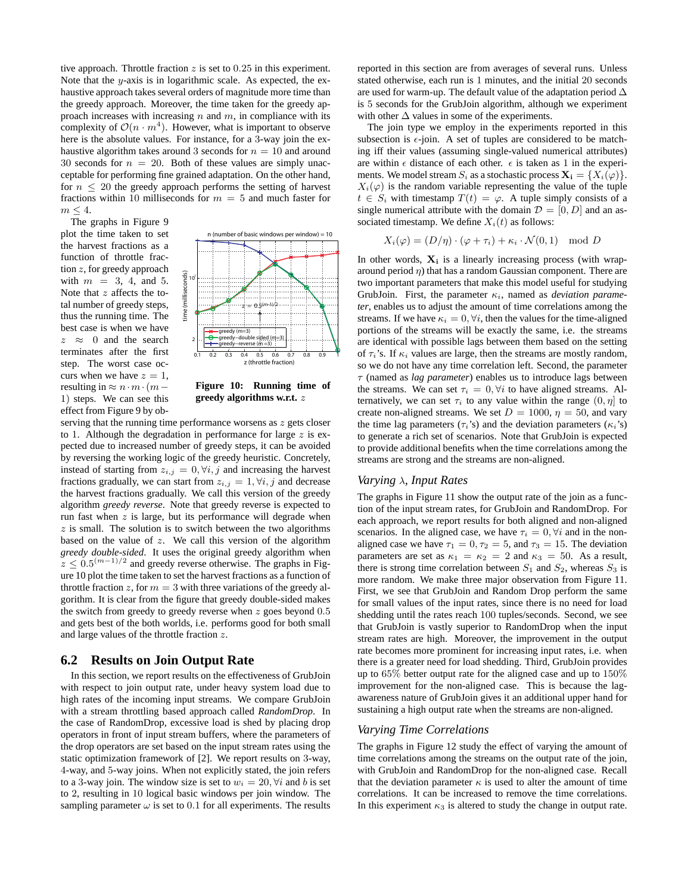tive approach. Throttle fraction  $z$  is set to 0.25 in this experiment. Note that the  $y$ -axis is in logarithmic scale. As expected, the exhaustive approach takes several orders of magnitude more time than the greedy approach. Moreover, the time taken for the greedy approach increases with increasing  $n$  and  $m$ , in compliance with its complexity of  $\mathcal{O}(n \cdot m^4)$ . However, what is important to observe here is the absolute values. For instance, for a 3-way join the exhaustive algorithm takes around 3 seconds for  $n = 10$  and around 30 seconds for  $n = 20$ . Both of these values are simply unacceptable for performing fine grained adaptation. On the other hand, for  $n \leq 20$  the greedy approach performs the setting of harvest fractions within 10 milliseconds for  $m = 5$  and much faster for  $m \leq 4$ .

The graphs in Figure 9 plot the time taken to set the harvest fractions as a function of throttle fraction z, for greedy approach with  $m = 3, 4,$  and 5. Note that z affects the total number of greedy steps, thus the running time. The best case is when we have  $z \approx 0$  and the search terminates after the first step. The worst case occurs when we have  $z = 1$ , resulting in  $\approx n \cdot m \cdot (m -$ 1) steps. We can see this effect from Figure 9 by ob-



**Figure 10: Running time of greedy algorithms w.r.t.** z

serving that the running time performance worsens as  $z$  gets closer to 1. Although the degradation in performance for large  $z$  is expected due to increased number of greedy steps, it can be avoided by reversing the working logic of the greedy heuristic. Concretely, instead of starting from  $z_{i,j} = 0, \forall i, j$  and increasing the harvest fractions gradually, we can start from  $z_{i,j} = 1, \forall i, j$  and decrease the harvest fractions gradually. We call this version of the greedy algorithm *greedy reverse*. Note that greedy reverse is expected to run fast when  $z$  is large, but its performance will degrade when  $z$  is small. The solution is to switch between the two algorithms based on the value of  $z$ . We call this version of the algorithm *greedy double-sided*. It uses the original greedy algorithm when  $z \leq 0.5^{(m-1)/2}$  and greedy reverse otherwise. The graphs in Figure 10 plot the time taken to set the harvest fractions as a function of throttle fraction z, for  $m = 3$  with three variations of the greedy algorithm. It is clear from the figure that greedy double-sided makes the switch from greedy to greedy reverse when  $z$  goes beyond  $0.5$ and gets best of the both worlds, i.e. performs good for both small and large values of the throttle fraction z.

# **6.2 Results on Join Output Rate**

In this section, we report results on the effectiveness of GrubJoin with respect to join output rate, under heavy system load due to high rates of the incoming input streams. We compare GrubJoin with a stream throttling based approach called *RandomDrop*. In the case of RandomDrop, excessive load is shed by placing drop operators in front of input stream buffers, where the parameters of the drop operators are set based on the input stream rates using the static optimization framework of [2]. We report results on 3-way, 4-way, and 5-way joins. When not explicitly stated, the join refers to a 3-way join. The window size is set to  $w_i = 20$ ,  $\forall i$  and b is set to 2, resulting in 10 logical basic windows per join window. The sampling parameter  $\omega$  is set to 0.1 for all experiments. The results reported in this section are from averages of several runs. Unless stated otherwise, each run is 1 minutes, and the initial 20 seconds are used for warm-up. The default value of the adaptation period ∆ is 5 seconds for the GrubJoin algorithm, although we experiment with other  $\Delta$  values in some of the experiments.

The join type we employ in the experiments reported in this subsection is  $\epsilon$ -join. A set of tuples are considered to be matching iff their values (assuming single-valued numerical attributes) are within  $\epsilon$  distance of each other.  $\epsilon$  is taken as 1 in the experiments. We model stream  $S_i$  as a stochastic process  $\mathbf{X}_i = \{X_i(\varphi)\}\.$  $X_i(\varphi)$  is the random variable representing the value of the tuple  $t \in S_i$  with timestamp  $T(t) = \varphi$ . A tuple simply consists of a single numerical attribute with the domain  $\mathcal{D} = [0, D]$  and an associated timestamp. We define  $X_i(t)$  as follows:

$$
X_i(\varphi) = (D/\eta) \cdot (\varphi + \tau_i) + \kappa_i \cdot \mathcal{N}(0, 1) \mod D
$$

In other words, **X<sup>i</sup>** is a linearly increasing process (with wraparound period  $\eta$ ) that has a random Gaussian component. There are two important parameters that make this model useful for studying GrubJoin. First, the parameter κ*i*, named as *deviation parameter*, enables us to adjust the amount of time correlations among the streams. If we have  $\kappa_i = 0, \forall i$ , then the values for the time-aligned portions of the streams will be exactly the same, i.e. the streams are identical with possible lags between them based on the setting of  $\tau_i$ 's. If  $\kappa_i$  values are large, then the streams are mostly random, so we do not have any time correlation left. Second, the parameter τ (named as *lag parameter*) enables us to introduce lags between the streams. We can set  $\tau_i = 0, \forall i$  to have aligned streams. Alternatively, we can set  $\tau_i$  to any value within the range  $(0, \eta]$  to create non-aligned streams. We set  $D = 1000$ ,  $\eta = 50$ , and vary the time lag parameters ( $\tau_i$ 's) and the deviation parameters ( $\kappa_i$ 's) to generate a rich set of scenarios. Note that GrubJoin is expected to provide additional benefits when the time correlations among the streams are strong and the streams are non-aligned.

### *Varying* λ*, Input Rates*

The graphs in Figure 11 show the output rate of the join as a function of the input stream rates, for GrubJoin and RandomDrop. For each approach, we report results for both aligned and non-aligned scenarios. In the aligned case, we have  $\tau_i = 0$ ,  $\forall i$  and in the nonaligned case we have  $\tau_1 = 0, \tau_2 = 5$ , and  $\tau_3 = 15$ . The deviation parameters are set as  $\kappa_1 = \kappa_2 = 2$  and  $\kappa_3 = 50$ . As a result, there is strong time correlation between  $S_1$  and  $S_2$ , whereas  $S_3$  is more random. We make three major observation from Figure 11. First, we see that GrubJoin and Random Drop perform the same for small values of the input rates, since there is no need for load shedding until the rates reach 100 tuples/seconds. Second, we see that GrubJoin is vastly superior to RandomDrop when the input stream rates are high. Moreover, the improvement in the output rate becomes more prominent for increasing input rates, i.e. when there is a greater need for load shedding. Third, GrubJoin provides up to 65% better output rate for the aligned case and up to 150% improvement for the non-aligned case. This is because the lagawareness nature of GrubJoin gives it an additional upper hand for sustaining a high output rate when the streams are non-aligned.

#### *Varying Time Correlations*

The graphs in Figure 12 study the effect of varying the amount of time correlations among the streams on the output rate of the join, with GrubJoin and RandomDrop for the non-aligned case. Recall that the deviation parameter  $\kappa$  is used to alter the amount of time correlations. It can be increased to remove the time correlations. In this experiment  $\kappa_3$  is altered to study the change in output rate.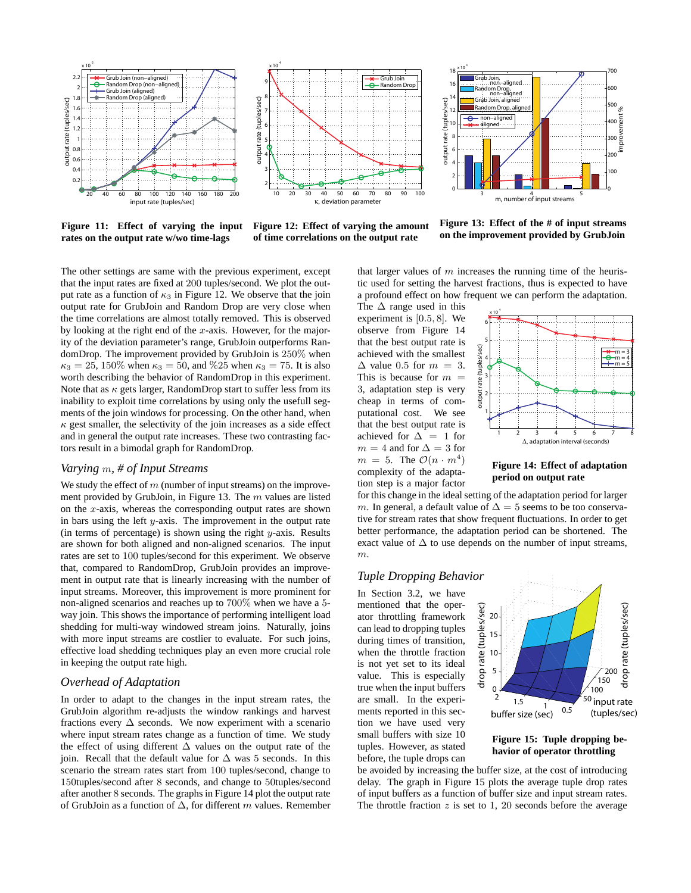



**Figure 11: Effect of varying the input rates on the output rate w/wo time-lags**



**Figure 12: Effect of varying the amount of time correlations on the output rate**

**Figure 13: Effect of the # of input streams on the improvement provided by GrubJoin**

The other settings are same with the previous experiment, except that the input rates are fixed at 200 tuples/second. We plot the output rate as a function of  $\kappa_3$  in Figure 12. We observe that the join output rate for GrubJoin and Random Drop are very close when the time correlations are almost totally removed. This is observed by looking at the right end of the  $x$ -axis. However, for the majority of the deviation parameter's range, GrubJoin outperforms RandomDrop. The improvement provided by GrubJoin is 250% when  $\kappa_3 = 25, 150\%$  when  $\kappa_3 = 50$ , and  $\%25$  when  $\kappa_3 = 75$ . It is also worth describing the behavior of RandomDrop in this experiment. Note that as  $\kappa$  gets larger, RandomDrop start to suffer less from its inability to exploit time correlations by using only the usefull segments of the join windows for processing. On the other hand, when  $\kappa$  gest smaller, the selectivity of the join increases as a side effect and in general the output rate increases. These two contrasting factors result in a bimodal graph for RandomDrop.

# *Varying* m*, # of Input Streams*

We study the effect of  $m$  (number of input streams) on the improvement provided by GrubJoin, in Figure 13. The  $m$  values are listed on the  $x$ -axis, whereas the corresponding output rates are shown in bars using the left  $y$ -axis. The improvement in the output rate (in terms of percentage) is shown using the right  $y$ -axis. Results are shown for both aligned and non-aligned scenarios. The input rates are set to 100 tuples/second for this experiment. We observe that, compared to RandomDrop, GrubJoin provides an improvement in output rate that is linearly increasing with the number of input streams. Moreover, this improvement is more prominent for non-aligned scenarios and reaches up to 700% when we have a 5 way join. This shows the importance of performing intelligent load shedding for multi-way windowed stream joins. Naturally, joins with more input streams are costlier to evaluate. For such joins, effective load shedding techniques play an even more crucial role in keeping the output rate high.

### *Overhead of Adaptation*

In order to adapt to the changes in the input stream rates, the GrubJoin algorithm re-adjusts the window rankings and harvest fractions every  $\Delta$  seconds. We now experiment with a scenario where input stream rates change as a function of time. We study the effect of using different  $\Delta$  values on the output rate of the join. Recall that the default value for  $\Delta$  was 5 seconds. In this scenario the stream rates start from 100 tuples/second, change to 150tuples/second after 8 seconds, and change to 50tuples/second after another 8 seconds. The graphs in Figure 14 plot the output rate of GrubJoin as a function of ∆, for different m values. Remember that larger values of  $m$  increases the running time of the heuristic used for setting the harvest fractions, thus is expected to have a profound effect on how frequent we can perform the adaptation.

The  $\Delta$  range used in this experiment is [0.5, 8]. We observe from Figure 14 that the best output rate is achieved with the smallest  $\Delta$  value 0.5 for  $m = 3$ . This is because for  $m =$ 3, adaptation step is very cheap in terms of computational cost. We see that the best output rate is achieved for  $\Delta = 1$  for  $m = 4$  and for  $\Delta = 3$  for  $m = 5$ . The  $\mathcal{O}(n \cdot m^4)$ complexity of the adaptation step is a major factor



**Figure 14: Effect of adaptation period on output rate**

for this change in the ideal setting of the adaptation period for larger m. In general, a default value of  $\Delta=5$  seems to be too conservative for stream rates that show frequent fluctuations. In order to get better performance, the adaptation period can be shortened. The exact value of  $\Delta$  to use depends on the number of input streams, m.

### *Tuple Dropping Behavior*

In Section 3.2, we have mentioned that the operator throttling framework can lead to dropping tuples during times of transition, when the throttle fraction is not yet set to its ideal value. This is especially true when the input buffers are small. In the experiments reported in this section we have used very small buffers with size 10 tuples. However, as stated before, the tuple drops can



**Figure 15: Tuple dropping behavior of operator throttling**

be avoided by increasing the buffer size, at the cost of introducing delay. The graph in Figure 15 plots the average tuple drop rates of input buffers as a function of buffer size and input stream rates. The throttle fraction  $z$  is set to 1, 20 seconds before the average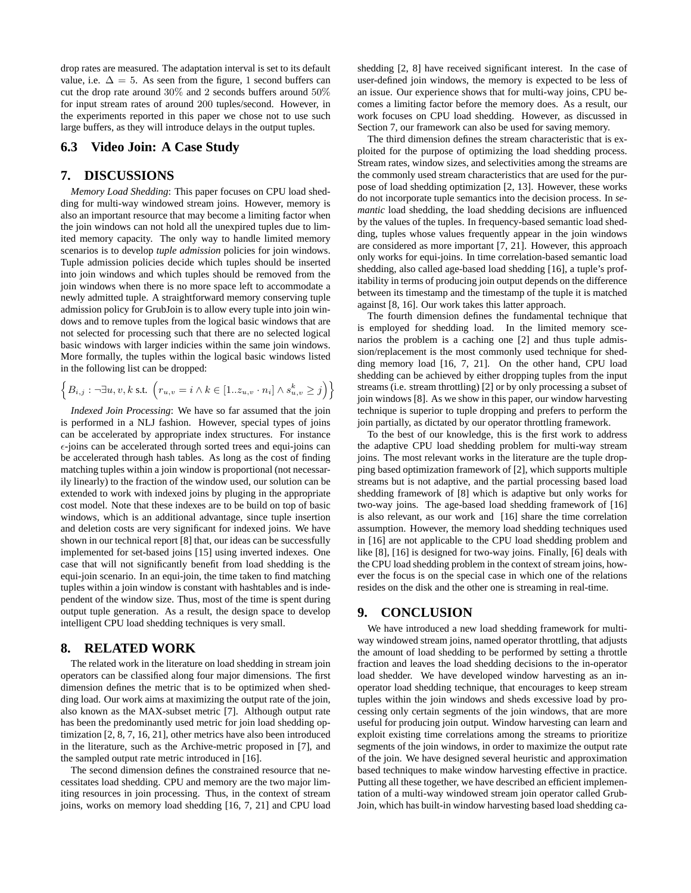drop rates are measured. The adaptation interval is set to its default value, i.e.  $\Delta = 5$ . As seen from the figure, 1 second buffers can cut the drop rate around 30% and 2 seconds buffers around 50% for input stream rates of around 200 tuples/second. However, in the experiments reported in this paper we chose not to use such large buffers, as they will introduce delays in the output tuples.

# **6.3 Video Join: A Case Study**

# **7. DISCUSSIONS**

*Memory Load Shedding*: This paper focuses on CPU load shedding for multi-way windowed stream joins. However, memory is also an important resource that may become a limiting factor when the join windows can not hold all the unexpired tuples due to limited memory capacity. The only way to handle limited memory scenarios is to develop *tuple admission* policies for join windows. Tuple admission policies decide which tuples should be inserted into join windows and which tuples should be removed from the join windows when there is no more space left to accommodate a newly admitted tuple. A straightforward memory conserving tuple admission policy for GrubJoin is to allow every tuple into join windows and to remove tuples from the logical basic windows that are not selected for processing such that there are no selected logical basic windows with larger indicies within the same join windows. More formally, the tuples within the logical basic windows listed in the following list can be dropped:

$$
\left\{B_{i,j}:\neg \exists u,v,k \text{ s.t. } \left(r_{u,v}=i \land k \in [1..z_{u,v} \cdot n_i] \land s_{u,v}^k \geq j\right)\right\}
$$

*Indexed Join Processing*: We have so far assumed that the join is performed in a NLJ fashion. However, special types of joins can be accelerated by appropriate index structures. For instance  $\epsilon$ -joins can be accelerated through sorted trees and equi-joins can be accelerated through hash tables. As long as the cost of finding matching tuples within a join window is proportional (not necessarily linearly) to the fraction of the window used, our solution can be extended to work with indexed joins by pluging in the appropriate cost model. Note that these indexes are to be build on top of basic windows, which is an additional advantage, since tuple insertion and deletion costs are very significant for indexed joins. We have shown in our technical report [8] that, our ideas can be successfully implemented for set-based joins [15] using inverted indexes. One case that will not significantly benefit from load shedding is the equi-join scenario. In an equi-join, the time taken to find matching tuples within a join window is constant with hashtables and is independent of the window size. Thus, most of the time is spent during output tuple generation. As a result, the design space to develop intelligent CPU load shedding techniques is very small.

# **8. RELATED WORK**

The related work in the literature on load shedding in stream join operators can be classified along four major dimensions. The first dimension defines the metric that is to be optimized when shedding load. Our work aims at maximizing the output rate of the join, also known as the MAX-subset metric [7]. Although output rate has been the predominantly used metric for join load shedding optimization [2, 8, 7, 16, 21], other metrics have also been introduced in the literature, such as the Archive-metric proposed in [7], and the sampled output rate metric introduced in [16].

The second dimension defines the constrained resource that necessitates load shedding. CPU and memory are the two major limiting resources in join processing. Thus, in the context of stream joins, works on memory load shedding [16, 7, 21] and CPU load shedding [2, 8] have received significant interest. In the case of user-defined join windows, the memory is expected to be less of an issue. Our experience shows that for multi-way joins, CPU becomes a limiting factor before the memory does. As a result, our work focuses on CPU load shedding. However, as discussed in Section 7, our framework can also be used for saving memory.

The third dimension defines the stream characteristic that is exploited for the purpose of optimizing the load shedding process. Stream rates, window sizes, and selectivities among the streams are the commonly used stream characteristics that are used for the purpose of load shedding optimization [2, 13]. However, these works do not incorporate tuple semantics into the decision process. In *semantic* load shedding, the load shedding decisions are influenced by the values of the tuples. In frequency-based semantic load shedding, tuples whose values frequently appear in the join windows are considered as more important [7, 21]. However, this approach only works for equi-joins. In time correlation-based semantic load shedding, also called age-based load shedding [16], a tuple's profitability in terms of producing join output depends on the difference between its timestamp and the timestamp of the tuple it is matched against [8, 16]. Our work takes this latter approach.

The fourth dimension defines the fundamental technique that is employed for shedding load. In the limited memory scenarios the problem is a caching one [2] and thus tuple admission/replacement is the most commonly used technique for shedding memory load [16, 7, 21]. On the other hand, CPU load shedding can be achieved by either dropping tuples from the input streams (i.e. stream throttling) [2] or by only processing a subset of join windows [8]. As we show in this paper, our window harvesting technique is superior to tuple dropping and prefers to perform the join partially, as dictated by our operator throttling framework.

To the best of our knowledge, this is the first work to address the adaptive CPU load shedding problem for multi-way stream joins. The most relevant works in the literature are the tuple dropping based optimization framework of [2], which supports multiple streams but is not adaptive, and the partial processing based load shedding framework of [8] which is adaptive but only works for two-way joins. The age-based load shedding framework of [16] is also relevant, as our work and [16] share the time correlation assumption. However, the memory load shedding techniques used in [16] are not applicable to the CPU load shedding problem and like [8], [16] is designed for two-way joins. Finally, [6] deals with the CPU load shedding problem in the context of stream joins, however the focus is on the special case in which one of the relations resides on the disk and the other one is streaming in real-time.

# **9. CONCLUSION**

We have introduced a new load shedding framework for multiway windowed stream joins, named operator throttling, that adjusts the amount of load shedding to be performed by setting a throttle fraction and leaves the load shedding decisions to the in-operator load shedder. We have developed window harvesting as an inoperator load shedding technique, that encourages to keep stream tuples within the join windows and sheds excessive load by processing only certain segments of the join windows, that are more useful for producing join output. Window harvesting can learn and exploit existing time correlations among the streams to prioritize segments of the join windows, in order to maximize the output rate of the join. We have designed several heuristic and approximation based techniques to make window harvesting effective in practice. Putting all these together, we have described an efficient implementation of a multi-way windowed stream join operator called Grub-Join, which has built-in window harvesting based load shedding ca